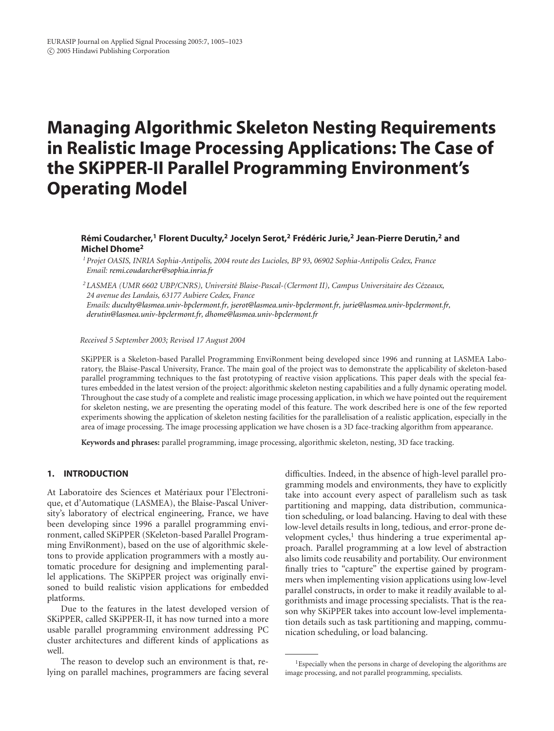# **Managing Algorithmic Skeleton Nesting Requirements in Realistic Image Processing Applications: The Case of the SKiPPER-II Parallel Programming Environment's Operating Model**

# **Remi Coudarcher, ´ <sup>1</sup> Florent Duculty,2 Jocelyn Serot,2 Fred´ eric Jurie, ´ <sup>2</sup> Jean-Pierre Derutin,2 and Michel Dhome2**

*1Projet OASIS, INRIA Sophia-Antipolis, 2004 route des Lucioles, BP 93, 06902 Sophia-Antipolis Cedex, France Email: [remi.coudarcher@sophia.inria.fr](mailto:remi.coudarcher@sophia.inria.fr)*

<sup>2</sup> LASMEA (UMR 6602 UBP/CNRS), Université Blaise-Pascal-(Clermont II), Campus Universitaire des Cézeaux, *24 avenue des Landais, 63177 Aubiere Cedex, France Emails: [duculty@lasmea.univ-bpclermont.fr,](mailto:duculty@lasmea.univ-bpclermont.fr) [jserot@lasmea.univ-bpclermont.fr,](mailto:jserot@lasmea.univ-bpclermont.fr) [jurie@lasmea.univ-bpclermont.fr,](mailto:jurie@lasmea.univ-bpclermont.fr) [derutin@lasmea.univ-bpclermont.fr,](mailto:derutin@lasmea.univ-bpclermont.fr) [dhome@lasmea.univ-bpclermont.fr](mailto:dhome@lasmea.univ-bpclermont.fr)*

*Received 5 September 2003; Revised 17 August 2004*

SKiPPER is a Skeleton-based Parallel Programming EnviRonment being developed since 1996 and running at LASMEA Laboratory, the Blaise-Pascal University, France. The main goal of the project was to demonstrate the applicability of skeleton-based parallel programming techniques to the fast prototyping of reactive vision applications. This paper deals with the special features embedded in the latest version of the project: algorithmic skeleton nesting capabilities and a fully dynamic operating model. Throughout the case study of a complete and realistic image processing application, in which we have pointed out the requirement for skeleton nesting, we are presenting the operating model of this feature. The work described here is one of the few reported experiments showing the application of skeleton nesting facilities for the parallelisation of a realistic application, especially in the area of image processing. The image processing application we have chosen is a 3D face-tracking algorithm from appearance.

**Keywords and phrases:** parallel programming, image processing, algorithmic skeleton, nesting, 3D face tracking.

# **1. INTRODUCTION**

At Laboratoire des Sciences et Matériaux pour l'Electronique, et d'Automatique (LASMEA), the Blaise-Pascal University's laboratory of electrical engineering, France, we have been developing since 1996 a parallel programming environment, called SKiPPER (SKeleton-based Parallel Programming EnviRonment), based on the use of algorithmic skeletons to provide application programmers with a mostly automatic procedure for designing and implementing parallel applications. The SKiPPER project was originally envisoned to build realistic vision applications for embedded platforms.

Due to the features in the latest developed version of SKiPPER, called SKiPPER-II, it has now turned into a more usable parallel programming environment addressing PC cluster architectures and different kinds of applications as well.

The reason to develop such an environment is that, relying on parallel machines, programmers are facing several difficulties. Indeed, in the absence of high-level parallel programming models and environments, they have to explicitly take into account every aspect of parallelism such as task partitioning and mapping, data distribution, communication scheduling, or load balancing. Having to deal with these low-level details results in long, tedious, and error-prone development cycles, $<sup>1</sup>$  thus hindering a true experimental ap-</sup> proach. Parallel programming at a low level of abstraction also limits code reusability and portability. Our environment finally tries to "capture" the expertise gained by programmers when implementing vision applications using low-level parallel constructs, in order to make it readily available to algorithmists and image processing specialists. That is the reason why SKiPPER takes into account low-level implementation details such as task partitioning and mapping, communication scheduling, or load balancing.

<span id="page-0-0"></span><sup>1</sup>Especially when the persons in charge of developing the algorithms are image processing, and not parallel programming, specialists.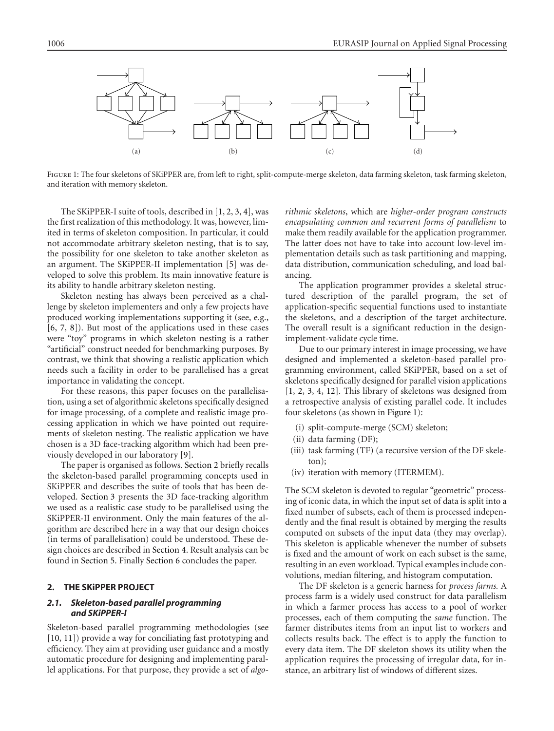

Figure 1: The four skeletons of SKiPPER are, from left to right, split-compute-merge skeleton, data farming skeleton, task farming skeleton, and iteration with memory skeleton.

The SKiPPER-I suite of tools, described in [\[1](#page-17-0), [2](#page-17-1), [3](#page-17-2), [4](#page-17-3)], was the first realization of this methodology. It was, however, limited in terms of skeleton composition. In particular, it could not accommodate arbitrary skeleton nesting, that is to say, the possibility for one skeleton to take another skeleton as an argument. The SKiPPER-II implementation [\[5](#page-17-4)] was developed to solve this problem. Its main innovative feature is its ability to handle arbitrary skeleton nesting.

Skeleton nesting has always been perceived as a challenge by skeleton implementers and only a few projects have produced working implementations supporting it (see, e.g., [\[6](#page-17-5), [7](#page-17-6), [8\]](#page-17-7)). But most of the applications used in these cases were "toy" programs in which skeleton nesting is a rather "artificial" construct needed for benchmarking purposes. By contrast, we think that showing a realistic application which needs such a facility in order to be parallelised has a great importance in validating the concept.

For these reasons, this paper focuses on the parallelisation, using a set of algorithmic skeletons specifically designed for image processing, of a complete and realistic image processing application in which we have pointed out requirements of skeleton nesting. The realistic application we have chosen is a 3D face-tracking algorithm which had been previously developed in our laboratory [\[9\]](#page-17-8).

The paper is organised as follows. [Section 2](#page-1-0) briefly recalls the skeleton-based parallel programming concepts used in SKiPPER and describes the suite of tools that has been developed. [Section 3](#page-9-0) presents the 3D face-tracking algorithm we used as a realistic case study to be parallelised using the SKiPPER-II environment. Only the main features of the algorithm are described here in a way that our design choices (in terms of parallelisation) could be understood. These design choices are described in [Section 4.](#page-13-0) Result analysis can be found in [Section 5.](#page-15-0) Finally [Section 6](#page-17-9) concludes the paper.

#### <span id="page-1-0"></span>**2. THE SKiPPER PROJECT**

## *2.1. Skeleton-based parallel programming and SKiPPER-I*

Skeleton-based parallel programming methodologies (see [\[10](#page-17-10), [11\]](#page-17-11)) provide a way for conciliating fast prototyping and efficiency. They aim at providing user guidance and a mostly automatic procedure for designing and implementing parallel applications. For that purpose, they provide a set of *algo-*

*rithmic skeletons*, which are *higher-order program constructs encapsulating common and recurrent forms of parallelism* to make them readily available for the application programmer. The latter does not have to take into account low-level implementation details such as task partitioning and mapping, data distribution, communication scheduling, and load balancing.

The application programmer provides a skeletal structured description of the parallel program, the set of application-specific sequential functions used to instantiate the skeletons, and a description of the target architecture. The overall result is a significant reduction in the designimplement-validate cycle time.

Due to our primary interest in image processing, we have designed and implemented a skeleton-based parallel programming environment, called SKiPPER, based on a set of skeletons specifically designed for parallel vision applications [\[1](#page-17-0), [2,](#page-17-1) [3,](#page-17-2) [4](#page-17-3), [12](#page-17-12)]. This library of skeletons was designed from a retrospective analysis of existing parallel code. It includes four skeletons (as shown in [Figure 1\)](#page-0-0):

- (i) split-compute-merge (SCM) skeleton;
- (ii) data farming (DF);
- (iii) task farming (TF) (a recursive version of the DF skeleton);
- (iv) iteration with memory (ITERMEM).

The SCM skeleton is devoted to regular "geometric" processing of iconic data, in which the input set of data is split into a fixed number of subsets, each of them is processed independently and the final result is obtained by merging the results computed on subsets of the input data (they may overlap). This skeleton is applicable whenever the number of subsets is fixed and the amount of work on each subset is the same, resulting in an even workload. Typical examples include convolutions, median filtering, and histogram computation.

The DF skeleton is a generic harness for *process farms.* A process farm is a widely used construct for data parallelism in which a farmer process has access to a pool of worker processes, each of them computing the *same* function. The farmer distributes items from an input list to workers and collects results back. The effect is to apply the function to every data item. The DF skeleton shows its utility when the application requires the processing of irregular data, for instance, an arbitrary list of windows of different sizes.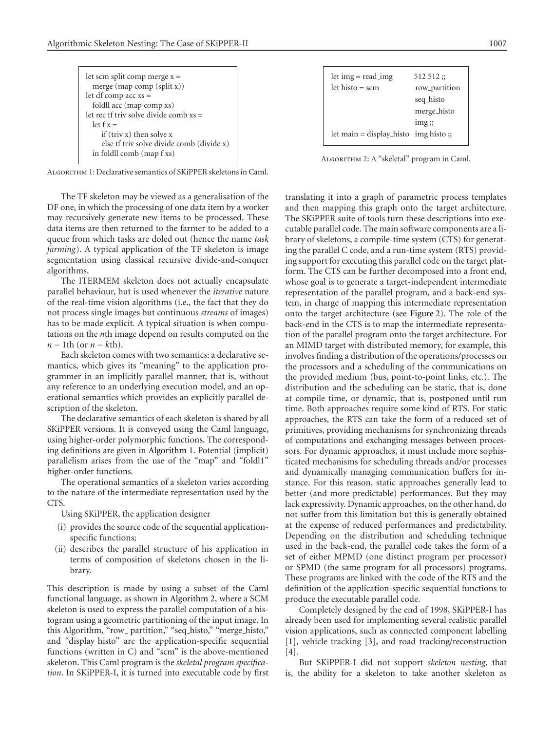| let scm split comp merge $x =$<br>merge (map comp (split $x$ )) |
|-----------------------------------------------------------------|
| let df comp acc $xs =$                                          |
| foldll acc (map comp xs)                                        |
| let rec tf triv solve divide comb $xs =$                        |
| let $f x =$                                                     |
| if (triv $x$ ) then solve $x$                                   |
| else tf triv solve divide comb (divide x)                       |
| in foldll comb (map f xs)                                       |

<span id="page-2-0"></span>Algorithm 1: Declarative semantics of SKiPPER skeletons in Caml.

The TF skeleton may be viewed as a generalisation of the DF one, in which the processing of one data item by a worker may recursively generate new items to be processed. These data items are then returned to the farmer to be added to a queue from which tasks are doled out (hence the name *task farming*). A typical application of the TF skeleton is image segmentation using classical recursive divide-and-conquer algorithms.

The ITERMEM skeleton does not actually encapsulate parallel behaviour, but is used whenever the *iterative* nature of the real-time vision algorithms (i.e., the fact that they do not process single images but continuous *streams* of images) has to be made explicit. A typical situation is when computations on the *n*th image depend on results computed on the *n* − 1th (or *n* − *k*th).

Each skeleton comes with two semantics: a declarative semantics, which gives its "meaning" to the application programmer in an implicitly parallel manner, that is, without any reference to an underlying execution model, and an operational semantics which provides an explicitly parallel description of the skeleton.

The declarative semantics of each skeleton is shared by all SKiPPER versions. It is conveyed using the Caml language, using higher-order polymorphic functions. The corresponding definitions are given in [Algorithm 1.](#page-2-0) Potential (implicit) parallelism arises from the use of the "map" and "foldl1" higher-order functions.

The operational semantics of a skeleton varies according to the nature of the intermediate representation used by the CTS.

Using SKiPPER, the application designer

- (i) provides the source code of the sequential applicationspecific functions;
- (ii) describes the parallel structure of his application in terms of composition of skeletons chosen in the library.

This description is made by using a subset of the Caml functional language, as shown in [Algorithm 2,](#page-2-1) where a SCM skeleton is used to express the parallel computation of a histogram using a geometric partitioning of the input image. In this Algorithm, "row\_partition," "seq\_histo," "merge\_histo," and "display histo" are the application-specific sequential functions (written in C) and "scm" is the above-mentioned skeleton. This Caml program is the *skeletal program specification*. In SKiPPER-I, it is turned into executable code by first

| let img $=$ read img                | 512 512 ;;    |  |
|-------------------------------------|---------------|--|
| $let hist0 = scm$                   | row_partition |  |
|                                     | seq_histo     |  |
|                                     | merge_histo   |  |
|                                     | img ::        |  |
| let main = display histo img histo; |               |  |

<span id="page-2-1"></span>ALGORITHM 2: A "skeletal" program in Caml.

translating it into a graph of parametric process templates and then mapping this graph onto the target architecture. The SKiPPER suite of tools turn these descriptions into executable parallel code. The main software components are a library of skeletons, a compile-time system (CTS) for generating the parallel C code, and a run-time system (RTS) providing support for executing this parallel code on the target platform. The CTS can be further decomposed into a front end, whose goal is to generate a target-independent intermediate representation of the parallel program, and a back-end system, in charge of mapping this intermediate representation onto the target architecture (see [Figure 2\)](#page-3-0). The role of the back-end in the CTS is to map the intermediate representation of the parallel program onto the target architecture. For an MIMD target with distributed memory, for example, this involves finding a distribution of the operations/processes on the processors and a scheduling of the communications on the provided medium (bus, point-to-point links, etc.). The distribution and the scheduling can be static, that is, done at compile time, or dynamic, that is, postponed until run time. Both approaches require some kind of RTS. For static approaches, the RTS can take the form of a reduced set of primitives, providing mechanisms for synchronizing threads of computations and exchanging messages between processors. For dynamic approaches, it must include more sophisticated mechanisms for scheduling threads and/or processes and dynamically managing communication buffers for instance. For this reason, static approaches generally lead to better (and more predictable) performances. But they may lack expressivity. Dynamic approaches, on the other hand, do not suffer from this limitation but this is generally obtained at the expense of reduced performances and predictability. Depending on the distribution and scheduling technique used in the back-end, the parallel code takes the form of a set of either MPMD (one distinct program per processor) or SPMD (the same program for all processors) programs. These programs are linked with the code of the RTS and the definition of the application-specific sequential functions to produce the executable parallel code.

Completely designed by the end of 1998, SKiPPER-I has already been used for implementing several realistic parallel vision applications, such as connected component labelling [\[1](#page-17-0)], vehicle tracking [\[3\]](#page-17-2), and road tracking/reconstruction [\[4](#page-17-3)].

But SKiPPER-I did not support *skeleton nesting*, that is, the ability for a skeleton to take another skeleton as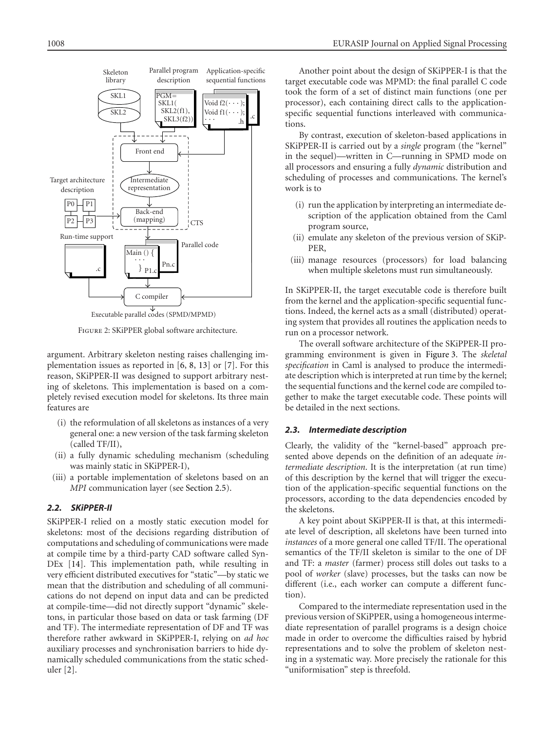

Figure 2: SKiPPER global software architecture.

<span id="page-3-0"></span>argument. Arbitrary skeleton nesting raises challenging implementation issues as reported in [\[6,](#page-17-5) [8,](#page-17-7) [13\]](#page-18-0) or [\[7](#page-17-6)]. For this reason, SKiPPER-II was designed to support arbitrary nesting of skeletons. This implementation is based on a completely revised execution model for skeletons. Its three main features are

- (i) the reformulation of all skeletons as instances of a very general one: a new version of the task farming skeleton (called TF/II),
- (ii) a fully dynamic scheduling mechanism (scheduling was mainly static in SKiPPER-I),
- (iii) a portable implementation of skeletons based on an *MPI* communication layer (see [Section 2.5\)](#page-5-0).

## *2.2. SKiPPER-II*

SKiPPER-I relied on a mostly static execution model for skeletons: most of the decisions regarding distribution of computations and scheduling of communications were made at compile time by a third-party CAD software called Syn-DEx [\[14\]](#page-18-1). This implementation path, while resulting in very efficient distributed executives for "static"—by static we mean that the distribution and scheduling of all communications do not depend on input data and can be predicted at compile-time—did not directly support "dynamic" skeletons, in particular those based on data or task farming (DF and TF). The intermediate representation of DF and TF was therefore rather awkward in SKiPPER-I, relying on *ad hoc* auxiliary processes and synchronisation barriers to hide dynamically scheduled communications from the static scheduler [\[2](#page-17-1)].

Another point about the design of SKiPPER-I is that the target executable code was MPMD: the final parallel C code took the form of a set of distinct main functions (one per processor), each containing direct calls to the applicationspecific sequential functions interleaved with communications.

By contrast, execution of skeleton-based applications in SKiPPER-II is carried out by a *single* program (the "kernel" in the sequel)—written in C—running in SPMD mode on all processors and ensuring a fully *dynamic* distribution and scheduling of processes and communications. The kernel's work is to

- (i) run the application by interpreting an intermediate description of the application obtained from the Caml program source,
- (ii) emulate any skeleton of the previous version of SKiP-PER,
- (iii) manage resources (processors) for load balancing when multiple skeletons must run simultaneously.

In SKiPPER-II, the target executable code is therefore built from the kernel and the application-specific sequential functions. Indeed, the kernel acts as a small (distributed) operating system that provides all routines the application needs to run on a processor network.

The overall software architecture of the SKiPPER-II programming environment is given in [Figure 3.](#page-4-0) The *skeletal specification* in Caml is analysed to produce the intermediate description which is interpreted at run time by the kernel; the sequential functions and the kernel code are compiled together to make the target executable code. These points will be detailed in the next sections.

## *2.3. Intermediate description*

Clearly, the validity of the "kernel-based" approach presented above depends on the definition of an adequate *intermediate description*. It is the interpretation (at run time) of this description by the kernel that will trigger the execution of the application-specific sequential functions on the processors, according to the data dependencies encoded by the skeletons.

A key point about SKiPPER-II is that, at this intermediate level of description, all skeletons have been turned into *instances* of a more general one called TF/II. The operational semantics of the TF/II skeleton is similar to the one of DF and TF: a *master* (farmer) process still doles out tasks to a pool of *worker* (slave) processes, but the tasks can now be different (i.e., each worker can compute a different function).

Compared to the intermediate representation used in the previous version of SKiPPER, using a homogeneous intermediate representation of parallel programs is a design choice made in order to overcome the difficulties raised by hybrid representations and to solve the problem of skeleton nesting in a systematic way. More precisely the rationale for this "uniformisation" step is threefold.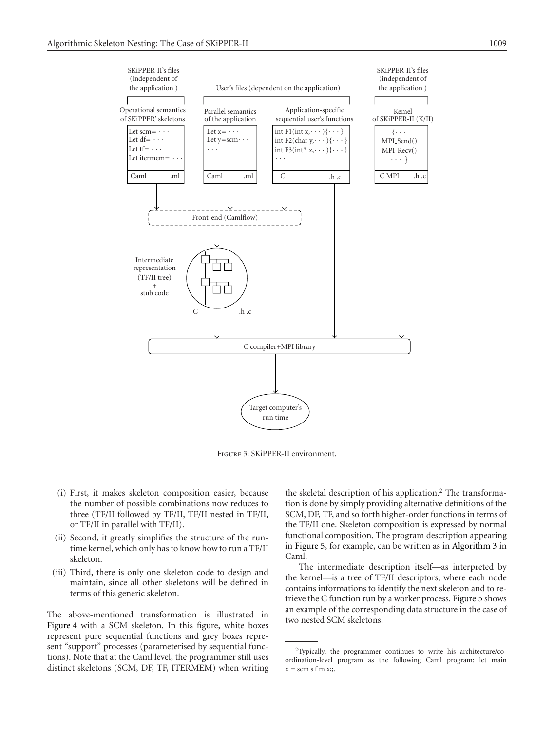

<span id="page-4-0"></span>Figure 3: SKiPPER-II environment.

- (i) First, it makes skeleton composition easier, because the number of possible combinations now reduces to three (TF/II followed by TF/II, TF/II nested in TF/II, or TF/II in parallel with TF/II).
- (ii) Second, it greatly simplifies the structure of the runtime kernel, which only has to know how to run a TF/II skeleton.
- (iii) Third, there is only one skeleton code to design and maintain, since all other skeletons will be defined in terms of this generic skeleton.

The above-mentioned transformation is illustrated in [Figure 4](#page-5-1) with a SCM skeleton. In this figure, white boxes represent pure sequential functions and grey boxes represent "support" processes (parameterised by sequential functions). Note that at the Caml level, the programmer still uses distinct skeletons (SCM, DF, TF, ITERMEM) when writing

the skeletal description of his application.<sup>2</sup> The transformation is done by simply providing alternative definitions of the SCM, DF, TF, and so forth higher-order functions in terms of the TF/II one. Skeleton composition is expressed by normal functional composition. The program description appearing in [Figure 5,](#page-4-1) for example, can be written as in [Algorithm 3](#page-6-0) in Caml.

The intermediate description itself—as interpreted by the kernel—is a tree of TF/II descriptors, where each node contains informations to identify the next skeleton and to retrieve the C function run by a worker process. [Figure 5](#page-4-1) shows an example of the corresponding data structure in the case of two nested SCM skeletons.

<span id="page-4-1"></span><sup>2</sup>Typically, the programmer continues to write his architecture/coordination-level program as the following Caml program: let main  $x =$  scm s f m x;;.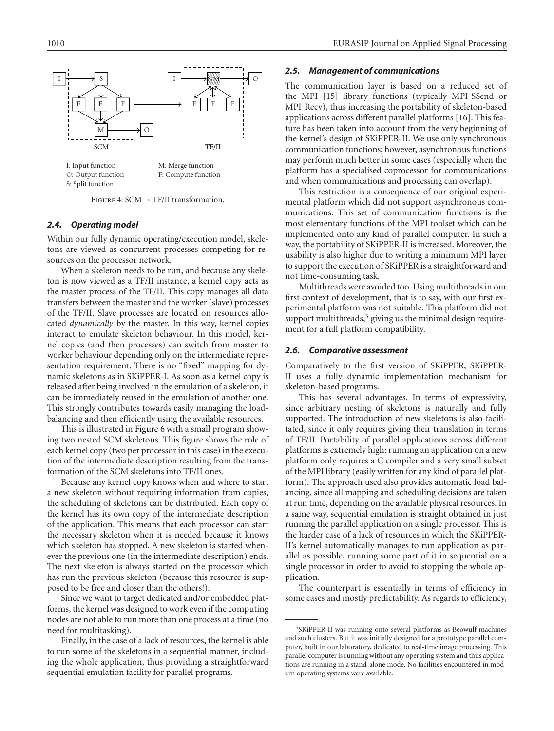

FIGURE 4:  $SCM \rightarrow TF/II$  transformation.

## <span id="page-5-2"></span><span id="page-5-1"></span>*2.4. Operating model*

Within our fully dynamic operating/execution model, skeletons are viewed as concurrent processes competing for resources on the processor network.

When a skeleton needs to be run, and because any skeleton is now viewed as a TF/II instance, a kernel copy acts as the master process of the TF/II. This copy manages all data transfers between the master and the worker (slave) processes of the TF/II. Slave processes are located on resources allocated *dynamically* by the master. In this way, kernel copies interact to emulate skeleton behaviour. In this model, kernel copies (and then processes) can switch from master to worker behaviour depending only on the intermediate representation requirement. There is no "fixed" mapping for dynamic skeletons as in SKiPPER-I. As soon as a kernel copy is released after being involved in the emulation of a skeleton, it can be immediately reused in the emulation of another one. This strongly contributes towards easily managing the loadbalancing and then efficiently using the available resources.

This is illustrated in [Figure 6](#page-7-0) with a small program showing two nested SCM skeletons. This figure shows the role of each kernel copy (two per processor in this case) in the execution of the intermediate description resulting from the transformation of the SCM skeletons into TF/II ones.

Because any kernel copy knows when and where to start a new skeleton without requiring information from copies, the scheduling of skeletons can be distributed. Each copy of the kernel has its own copy of the intermediate description of the application. This means that each processor can start the necessary skeleton when it is needed because it knows which skeleton has stopped. A new skeleton is started whenever the previous one (in the intermediate description) ends. The next skeleton is always started on the processor which has run the previous skeleton (because this resource is supposed to be free and closer than the others!).

Since we want to target dedicated and/or embedded platforms, the kernel was designed to work even if the computing nodes are not able to run more than one process at a time (no need for multitasking).

Finally, in the case of a lack of resources, the kernel is able to run some of the skeletons in a sequential manner, including the whole application, thus providing a straightforward sequential emulation facility for parallel programs.

## <span id="page-5-0"></span>*2.5. Management of communications*

The communication layer is based on a reduced set of the MPI [\[15\]](#page-18-2) library functions (typically MPI SSend or MPI\_Recv), thus increasing the portability of skeleton-based applications across different parallel platforms [\[16\]](#page-18-3). This feature has been taken into account from the very beginning of the kernel's design of SKiPPER-II. We use only synchronous communication functions; however, asynchronous functions may perform much better in some cases (especially when the platform has a specialised coprocessor for communications and when communications and processing can overlap).

This restriction is a consequence of our original experimental platform which did not support asynchronous communications. This set of communication functions is the most elementary functions of the MPI toolset which can be implemented onto any kind of parallel computer. In such a way, the portability of SKiPPER-II is increased. Moreover, the usability is also higher due to writing a minimum MPI layer to support the execution of SKiPPER is a straightforward and not time-consuming task.

Multithreads were avoided too. Using multithreads in our first context of development, that is to say, with our first experimental platform was not suitable. This platform did not support multithreads, $3$  giving us the minimal design requirement for a full platform compatibility.

#### *2.6. Comparative assessment*

Comparatively to the first version of SKiPPER, SKiPPER-II uses a fully dynamic implementation mechanism for skeleton-based programs.

This has several advantages. In terms of expressivity, since arbitrary nesting of skeletons is naturally and fully supported. The introduction of new skeletons is also facilitated, since it only requires giving their translation in terms of TF/II. Portability of parallel applications across different platforms is extremely high: running an application on a new platform only requires a C compiler and a very small subset of the MPI library (easily written for any kind of parallel platform). The approach used also provides automatic load balancing, since all mapping and scheduling decisions are taken at run time, depending on the available physical resources. In a same way, sequential emulation is straight obtained in just running the parallel application on a single processor. This is the harder case of a lack of resources in which the SKiPPER-II's kernel automatically manages to run application as parallel as possible, running some part of it in sequential on a single processor in order to avoid to stopping the whole application.

The counterpart is essentially in terms of efficiency in some cases and mostly predictability. As regards to efficiency,

<sup>3</sup>SKiPPER-II was running onto several platforms as Beowulf machines and such clusters. But it was initially designed for a prototype parallel computer, built in our laboratory, dedicated to real-time image processing. This parallel computer is running without any operating system and thus applications are running in a stand-alone mode. No facilities encountered in modern operating systems were available.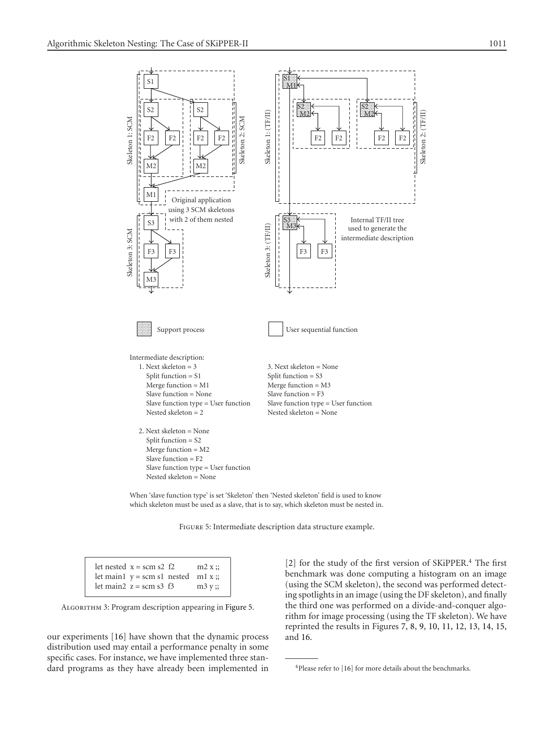Skeleton 2: (TF/II)

Skeleton 2: (TF/II



When 'slave function type' is set 'Skeleton' then 'Nested skeleton' field is used to know which skeleton must be used as a slave, that is to say, which skeleton must be nested in.

Figure 5: Intermediate description data structure example.

| let nested $x = scm s2 f2$          | $m2 x$ : |
|-------------------------------------|----------|
| let main1 $y = scm s1$ nested m1 x; |          |
| let main $2 z = \text{scm } s3$ f3  | $m3y$ ;  |

<span id="page-6-0"></span>ALGORITHM 3: Program description appearing in [Figure 5.](#page-4-1)

our experiments [\[16](#page-18-3)] have shown that the dynamic process distribution used may entail a performance penalty in some specific cases. For instance, we have implemented three standard programs as they have already been implemented in

[\[2](#page-17-1)] for the study of the first version of SKiPPER.<sup>4</sup> The first benchmark was done computing a histogram on an image (using the SCM skeleton), the second was performed detecting spotlights in an image (using the DF skeleton), and finally the third one was performed on a divide-and-conquer algorithm for image processing (using the TF skeleton). We have reprinted the results in Figures [7,](#page-8-0) [8,](#page-8-1) [9,](#page-8-2) [10,](#page-8-3) [11,](#page-9-1) [12,](#page-9-2) [13,](#page-9-3) [14,](#page-9-4) [15,](#page-10-0) and [16.](#page-10-1)

<sup>4</sup>Please refer to [\[16](#page-18-3)] for more details about the benchmarks.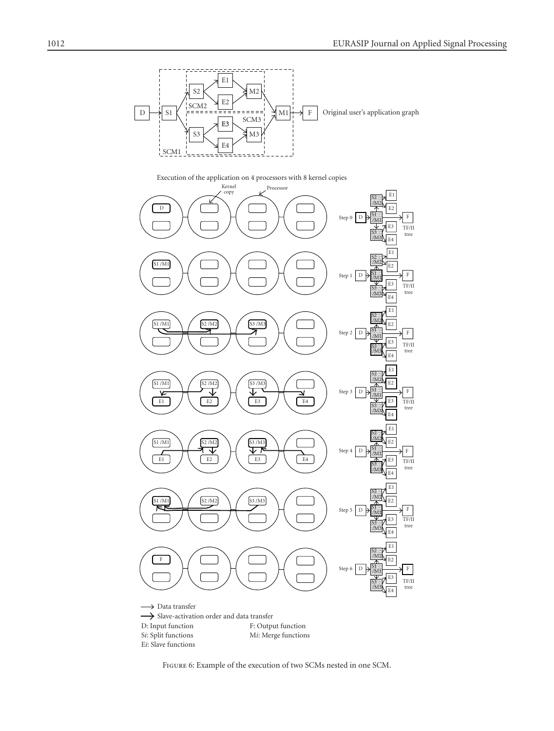

Execution of the application on 4 processors with 8 kernel copies



<span id="page-7-0"></span>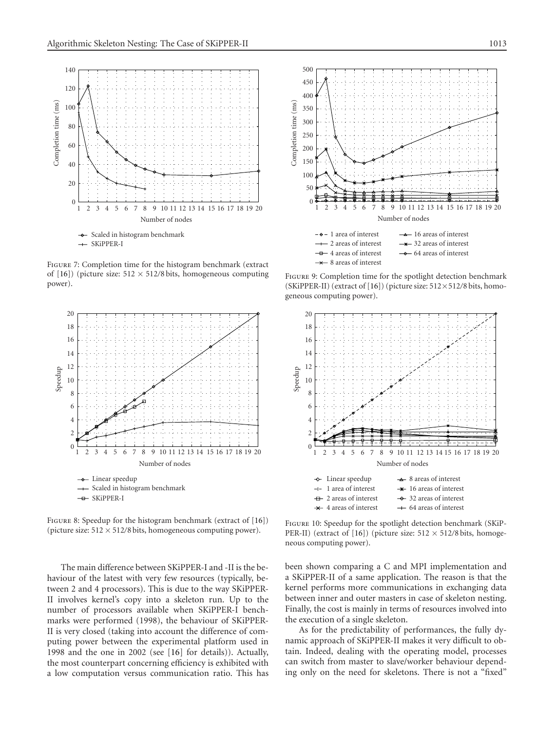

<span id="page-8-0"></span>Figure 7: Completion time for the histogram benchmark (extract of [\[16](#page-18-3)]) (picture size: 512 <sup>×</sup> <sup>512</sup>*/*8 bits, homogeneous computing power).



<span id="page-8-1"></span>FIGURE 8: Speedup for the histogram benchmark (extract of [\[16](#page-18-3)]) (picture size: 512 <sup>×</sup> <sup>512</sup>*/*8 bits, homogeneous computing power).

The main difference between SKiPPER-I and -II is the behaviour of the latest with very few resources (typically, between 2 and 4 processors). This is due to the way SKiPPER-II involves kernel's copy into a skeleton run. Up to the number of processors available when SKiPPER-I benchmarks were performed (1998), the behaviour of SKiPPER-II is very closed (taking into account the difference of computing power between the experimental platform used in 1998 and the one in 2002 (see [\[16\]](#page-18-3) for details)). Actually, the most counterpart concerning efficiency is exhibited with a low computation versus communication ratio. This has



<span id="page-8-2"></span>Figure 9: Completion time for the spotlight detection benchmark (SKiPPER-II) (extract of [\[16\]](#page-18-3)) (picture size: 512×512*/*8 bits, homogeneous computing power).



<span id="page-8-3"></span>Figure 10: Speedup for the spotlight detection benchmark (SKiP-PER-II) (extract of [\[16\]](#page-18-3)) (picture size: 512  $\times$  512/8 bits, homogeneous computing power).

been shown comparing a C and MPI implementation and a SKiPPER-II of a same application. The reason is that the kernel performs more communications in exchanging data between inner and outer masters in case of skeleton nesting. Finally, the cost is mainly in terms of resources involved into the execution of a single skeleton.

As for the predictability of performances, the fully dynamic approach of SKiPPER-II makes it very difficult to obtain. Indeed, dealing with the operating model, processes can switch from master to slave/worker behaviour depending only on the need for skeletons. There is not a "fixed"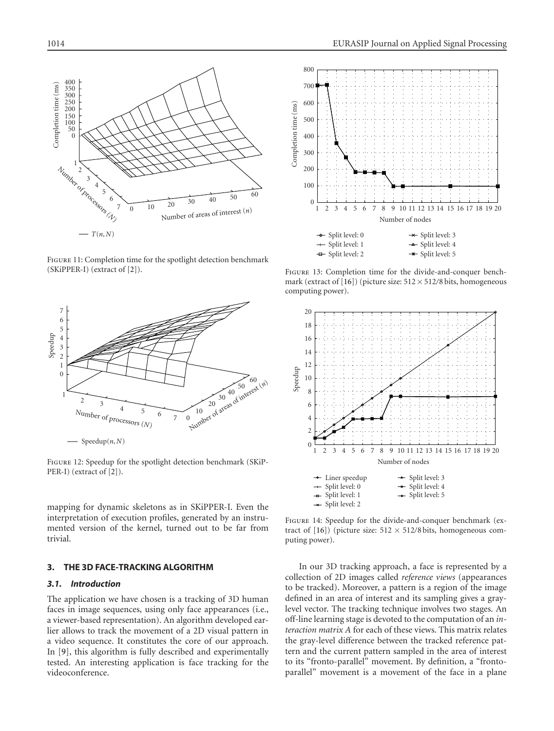

<span id="page-9-1"></span>Figure 11: Completion time for the spotlight detection benchmark (SKiPPER-I) (extract of [\[2](#page-17-1)]).



<span id="page-9-2"></span>Figure 12: Speedup for the spotlight detection benchmark (SKiP-PER-I) (extract of [\[2\]](#page-17-1)).

mapping for dynamic skeletons as in SKiPPER-I. Even the interpretation of execution profiles, generated by an instrumented version of the kernel, turned out to be far from trivial.

#### <span id="page-9-0"></span>**3. THE 3D FACE-TRACKING ALGORITHM**

#### *3.1. Introduction*

The application we have chosen is a tracking of 3D human faces in image sequences, using only face appearances (i.e., a viewer-based representation). An algorithm developed earlier allows to track the movement of a 2D visual pattern in a video sequence. It constitutes the core of our approach. In [\[9](#page-17-8)], this algorithm is fully described and experimentally tested. An interesting application is face tracking for the videoconference.



<span id="page-9-3"></span>Figure 13: Completion time for the divide-and-conquer benchmark (extract of [\[16](#page-18-3)]) (picture size: 512 <sup>×</sup> <sup>512</sup>*/*8 bits, homogeneous computing power).



<span id="page-9-4"></span>Figure 14: Speedup for the divide-and-conquer benchmark (ex-tract of [\[16](#page-18-3)]) (picture size:  $512 \times 512/8$  bits, homogeneous computing power).

In our 3D tracking approach, a face is represented by a collection of 2D images called *reference views* (appearances to be tracked). Moreover, a pattern is a region of the image defined in an area of interest and its sampling gives a graylevel vector. The tracking technique involves two stages. An off-line learning stage is devoted to the computation of an *interaction matrix A* for each of these views. This matrix relates the gray-level difference between the tracked reference pattern and the current pattern sampled in the area of interest to its "fronto-parallel" movement. By definition, a "frontoparallel" movement is a movement of the face in a plane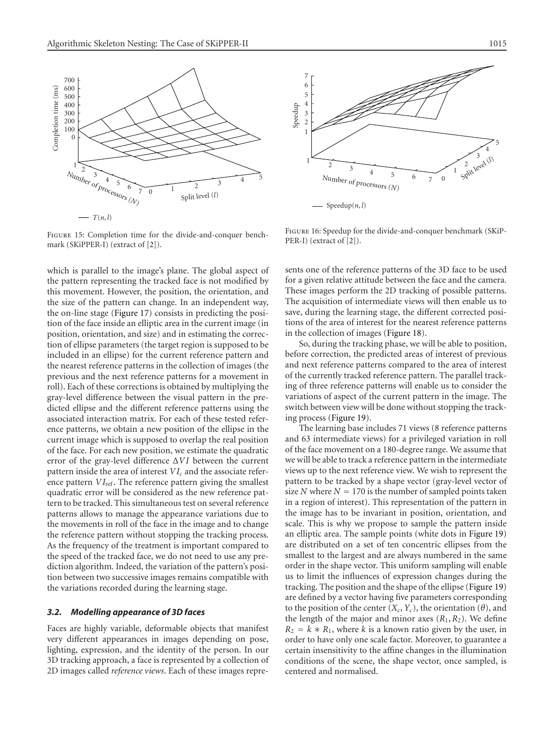

<span id="page-10-0"></span>Figure 15: Completion time for the divide-and-conquer benchmark (SKiPPER-I) (extract of [\[2](#page-17-1)]).

which is parallel to the image's plane. The global aspect of the pattern representing the tracked face is not modified by this movement. However, the position, the orientation, and the size of the pattern can change. In an independent way, the on-line stage [\(Figure 17\)](#page-11-0) consists in predicting the position of the face inside an elliptic area in the current image (in position, orientation, and size) and in estimating the correction of ellipse parameters (the target region is supposed to be included in an ellipse) for the current reference pattern and the nearest reference patterns in the collection of images (the previous and the next reference patterns for a movement in roll). Each of these corrections is obtained by multiplying the gray-level difference between the visual pattern in the predicted ellipse and the different reference patterns using the associated interaction matrix. For each of these tested reference patterns, we obtain a new position of the ellipse in the current image which is supposed to overlap the real position of the face. For each new position, we estimate the quadratic error of the gray-level difference ∆*V I* between the current pattern inside the area of interest *V Ic* and the associate reference pattern *VI*<sub>ref</sub>. The reference pattern giving the smallest quadratic error will be considered as the new reference pattern to be tracked. This simultaneous test on several reference patterns allows to manage the appearance variations due to the movements in roll of the face in the image and to change the reference pattern without stopping the tracking process. As the frequency of the treatment is important compared to the speed of the tracked face, we do not need to use any prediction algorithm. Indeed, the variation of the pattern's position between two successive images remains compatible with the variations recorded during the learning stage.

#### <span id="page-10-2"></span>*3.2. Modelling appearance of 3D faces*

Faces are highly variable, deformable objects that manifest very different appearances in images depending on pose, lighting, expression, and the identity of the person. In our 3D tracking approach, a face is represented by a collection of 2D images called *reference views*. Each of these images repre-



<span id="page-10-1"></span>Figure 16: Speedup for the divide-and-conquer benchmark (SKiP-PER-I) (extract of [\[2\]](#page-17-1)).

sents one of the reference patterns of the 3D face to be used for a given relative attitude between the face and the camera. These images perform the 2D tracking of possible patterns. The acquisition of intermediate views will then enable us to save, during the learning stage, the different corrected positions of the area of interest for the nearest reference patterns in the collection of images [\(Figure 18\)](#page-11-1).

So, during the tracking phase, we will be able to position, before correction, the predicted areas of interest of previous and next reference patterns compared to the area of interest of the currently tracked reference pattern. The parallel tracking of three reference patterns will enable us to consider the variations of aspect of the current pattern in the image. The switch between view will be done without stopping the tracking process [\(Figure 19\)](#page-11-2).

The learning base includes 71 views (8 reference patterns and 63 intermediate views) for a privileged variation in roll of the face movement on a 180-degree range. We assume that we will be able to track a reference pattern in the intermediate views up to the next reference view. We wish to represent the pattern to be tracked by a shape vector (gray-level vector of size *N* where  $N = 170$  is the number of sampled points taken in a region of interest). This representation of the pattern in the image has to be invariant in position, orientation, and scale. This is why we propose to sample the pattern inside an elliptic area. The sample points (white dots in [Figure 19\)](#page-11-2) are distributed on a set of ten concentric ellipses from the smallest to the largest and are always numbered in the same order in the shape vector. This uniform sampling will enable us to limit the influences of expression changes during the tracking. The position and the shape of the ellipse [\(Figure 19\)](#page-11-2) are defined by a vector having five parameters corresponding to the position of the center  $(X_c, Y_c)$ , the orientation  $(\theta)$ , and the length of the major and minor axes  $(R_1, R_2)$ . We define  $R_2 = k * R_1$ , where *k* is a known ratio given by the user, in order to have only one scale factor. Moreover, to guarantee a certain insensitivity to the affine changes in the illumination conditions of the scene, the shape vector, once sampled, is centered and normalised.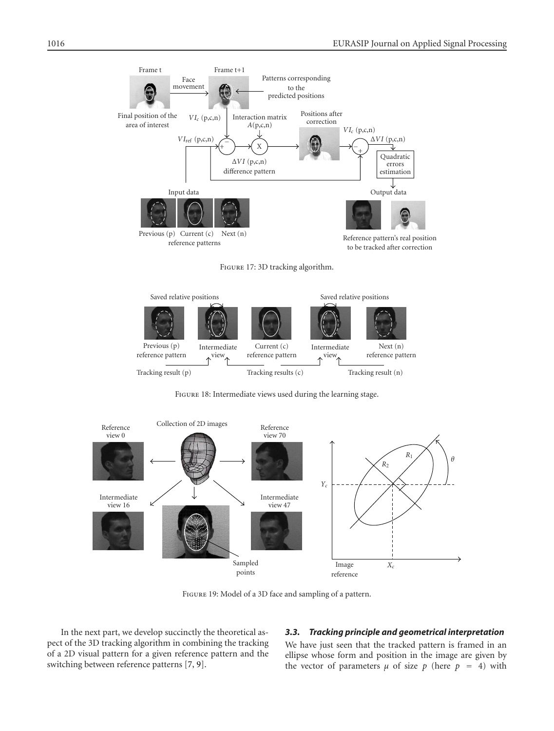

<span id="page-11-0"></span>Figure 17: 3D tracking algorithm.



<span id="page-11-1"></span>Figure 18: Intermediate views used during the learning stage.



<span id="page-11-2"></span>Figure 19: Model of a 3D face and sampling of a pattern.

In the next part, we develop succinctly the theoretical aspect of the 3D tracking algorithm in combining the tracking of a 2D visual pattern for a given reference pattern and the switching between reference patterns [\[7](#page-17-6), [9\]](#page-17-8).

## *3.3. Tracking principle and geometrical interpretation*

We have just seen that the tracked pattern is framed in an ellipse whose form and position in the image are given by the vector of parameters  $\mu$  of size  $p$  (here  $p = 4$ ) with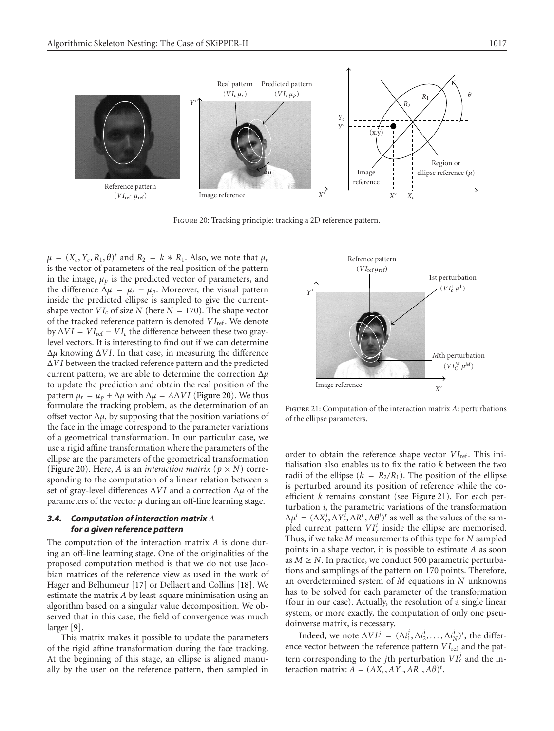

<span id="page-12-0"></span>Figure 20: Tracking principle: tracking a 2D reference pattern.

 $\mu = (X_c, Y_c, R_1, \theta)^t$  and  $R_2 = k * R_1$ . Also, we note that  $\mu_r$ is the vector of parameters of the real position of the pattern in the image,  $\mu_p$  is the predicted vector of parameters, and the difference  $\Delta \mu = \mu_r - \mu_p$ . Moreover, the visual pattern inside the predicted ellipse is sampled to give the currentshape vector  $VI_c$  of size *N* (here  $N = 170$ ). The shape vector of the tracked reference pattern is denoted *V I*ref . We denote by  $\Delta VI = VI_{\text{ref}} - VI_c$  the difference between these two graylevel vectors. It is interesting to find out if we can determine ∆*µ* knowing ∆*V I*. In that case, in measuring the difference ∆*V I* between the tracked reference pattern and the predicted current pattern, we are able to determine the correction ∆*µ* to update the prediction and obtain the real position of the pattern  $\mu_r = \mu_p + \Delta \mu$  with  $\Delta \mu = A \Delta V I$  [\(Figure 20\)](#page-12-0). We thus formulate the tracking problem, as the determination of an offset vector ∆*µ*, by supposing that the position variations of the face in the image correspond to the parameter variations of a geometrical transformation. In our particular case, we use a rigid affine transformation where the parameters of the ellipse are the parameters of the geometrical transformation [\(Figure 20\)](#page-12-0). Here, A is an *interaction matrix* ( $p \times N$ ) corresponding to the computation of a linear relation between a set of gray-level differences ∆*V I* and a correction ∆*µ* of the parameters of the vector  $\mu$  during an off-line learning stage.

## *3.4. Computation of interaction matrix A for a given reference pattern*

The computation of the interaction matrix *A* is done during an off-line learning stage. One of the originalities of the proposed computation method is that we do not use Jacobian matrices of the reference view as used in the work of Hager and Belhumeur [\[17\]](#page-18-4) or Dellaert and Collins [\[18\]](#page-18-5). We estimate the matrix *A* by least-square minimisation using an algorithm based on a singular value decomposition. We observed that in this case, the field of convergence was much larger [\[9\]](#page-17-8).

This matrix makes it possible to update the parameters of the rigid affine transformation during the face tracking. At the beginning of this stage, an ellipse is aligned manually by the user on the reference pattern, then sampled in



<span id="page-12-1"></span>Figure 21: Computation of the interaction matrix *A*: perturbations of the ellipse parameters.

order to obtain the reference shape vector  $VI_{ref}$ . This initialisation also enables us to fix the ratio *k* between the two radii of the ellipse  $(k = R_2/R_1)$ . The position of the ellipse is perturbed around its position of reference while the coefficient *k* remains constant (see [Figure 21\)](#page-12-1). For each perturbation *i*, the parametric variations of the transformation  $\Delta \mu^i = (\Delta X_c^i, \Delta Y_c^i, \Delta R_1^i, \Delta \theta^i)^t$  as well as the values of the sampled current pattern  $VI_c^i$  inside the ellipse are memorised. Thus, if we take *M* measurements of this type for *N* sampled points in a shape vector, it is possible to estimate *A* as soon as  $M \geq N$ . In practice, we conduct 500 parametric perturbations and samplings of the pattern on 170 points. Therefore, an overdetermined system of *M* equations in *N* unknowns has to be solved for each parameter of the transformation (four in our case). Actually, the resolution of a single linear system, or more exactly, the computation of only one pseudoinverse matrix, is necessary.

Indeed, we note  $\Delta VI^j = (\Delta i_1^j, \Delta i_2^j, \dots, \Delta i_N^j)^t$ , the difference vector between the reference pattern  $VI_{ref}$  and the pattern corresponding to the *j*th perturbation  $VI_c^j$  and the interaction matrix:  $\vec{A} = (AX_c, AY_c, AR_1, A\theta)^t$ .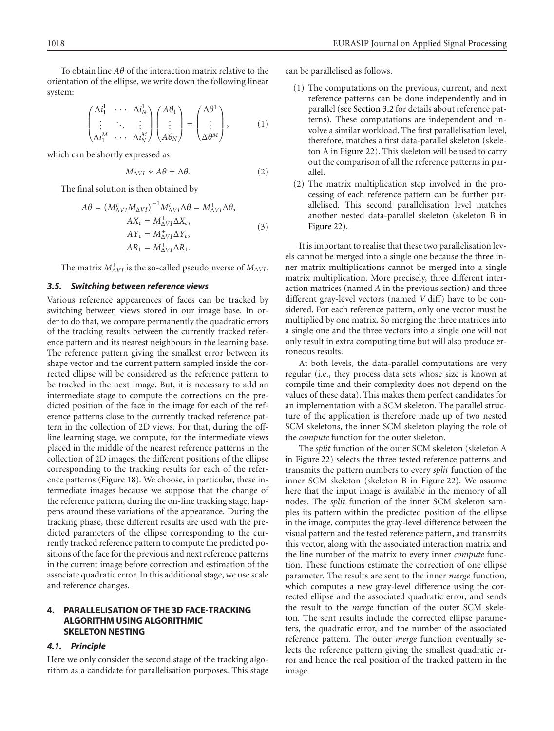To obtain line *Aθ* of the interaction matrix relative to the orientation of the ellipse, we write down the following linear system:

$$
\begin{pmatrix}\n\Delta i_1^1 & \cdots & \Delta i_N^1 \\
\vdots & \ddots & \vdots \\
\Delta i_1^M & \cdots & \Delta i_N^M\n\end{pmatrix}\n\begin{pmatrix}\nA\theta_1 \\
\vdots \\
A\theta_N\n\end{pmatrix} = \begin{pmatrix}\n\Delta \theta^1 \\
\vdots \\
\Delta \theta^M\n\end{pmatrix},
$$
\n(1)

which can be shortly expressed as

$$
M_{\Delta VI} * A\theta = \Delta\theta. \tag{2}
$$

The final solution is then obtained by

$$
A\theta = \left(M_{\Delta VI}^t M_{\Delta VI}\right)^{-1} M_{\Delta VI}^t \Delta \theta = M_{\Delta VI}^+ \Delta \theta,
$$
  
\n
$$
AX_c = M_{\Delta VI}^+ \Delta X_c,
$$
  
\n
$$
AY_c = M_{\Delta VI}^+ \Delta Y_c,
$$
  
\n
$$
AR_1 = M_{\Delta VI}^+ \Delta R_1.
$$
\n(3)

The matrix  $M_{\Delta VI}^+$  is the so-called pseudoinverse of  $M_{\Delta VI}$ .

# *3.5. Switching between reference views*

Various reference appearences of faces can be tracked by switching between views stored in our image base. In order to do that, we compare permanently the quadratic errors of the tracking results between the currently tracked reference pattern and its nearest neighbours in the learning base. The reference pattern giving the smallest error between its shape vector and the current pattern sampled inside the corrected ellipse will be considered as the reference pattern to be tracked in the next image. But, it is necessary to add an intermediate stage to compute the corrections on the predicted position of the face in the image for each of the reference patterns close to the currently tracked reference pattern in the collection of 2D views. For that, during the offline learning stage, we compute, for the intermediate views placed in the middle of the nearest reference patterns in the collection of 2D images, the different positions of the ellipse corresponding to the tracking results for each of the reference patterns [\(Figure 18\)](#page-11-1). We choose, in particular, these intermediate images because we suppose that the change of the reference pattern, during the on-line tracking stage, happens around these variations of the appearance. During the tracking phase, these different results are used with the predicted parameters of the ellipse corresponding to the currently tracked reference pattern to compute the predicted positions of the face for the previous and next reference patterns in the current image before correction and estimation of the associate quadratic error. In this additional stage, we use scale and reference changes.

## <span id="page-13-0"></span>**4. PARALLELISATION OF THE 3D FACE-TRACKING ALGORITHM USING ALGORITHMIC SKELETON NESTING**

#### *4.1. Principle*

Here we only consider the second stage of the tracking algorithm as a candidate for parallelisation purposes. This stage can be parallelised as follows.

- (1) The computations on the previous, current, and next reference patterns can be done independently and in parallel (see [Section 3.2](#page-10-2) for details about reference patterns). These computations are independent and involve a similar workload. The first parallelisation level, therefore, matches a first data-parallel skeleton (skeleton A in [Figure 22\)](#page-14-0). This skeleton will be used to carry out the comparison of all the reference patterns in parallel.
- (2) The matrix multiplication step involved in the processing of each reference pattern can be further parallelised. This second parallelisation level matches another nested data-parallel skeleton (skeleton B in [Figure 22\)](#page-14-0).

It is important to realise that these two parallelisation levels cannot be merged into a single one because the three inner matrix multiplications cannot be merged into a single matrix multiplication. More precisely, three different interaction matrices (named *A* in the previous section) and three different gray-level vectors (named *V* diff) have to be considered. For each reference pattern, only one vector must be multiplied by one matrix. So merging the three matrices into a single one and the three vectors into a single one will not only result in extra computing time but will also produce erroneous results.

At both levels, the data-parallel computations are very regular (i.e., they process data sets whose size is known at compile time and their complexity does not depend on the values of these data). This makes them perfect candidates for an implementation with a SCM skeleton. The parallel structure of the application is therefore made up of two nested SCM skeletons, the inner SCM skeleton playing the role of the *compute* function for the outer skeleton.

The *split* function of the outer SCM skeleton (skeleton A in [Figure 22\)](#page-14-0) selects the three tested reference patterns and transmits the pattern numbers to every *split* function of the inner SCM skeleton (skeleton B in [Figure 22\)](#page-14-0). We assume here that the input image is available in the memory of all nodes. The *split* function of the inner SCM skeleton samples its pattern within the predicted position of the ellipse in the image, computes the gray-level difference between the visual pattern and the tested reference pattern, and transmits this vector, along with the associated interaction matrix and the line number of the matrix to every inner *compute* function. These functions estimate the correction of one ellipse parameter. The results are sent to the inner *merge* function, which computes a new gray-level difference using the corrected ellipse and the associated quadratic error, and sends the result to the *merge* function of the outer SCM skeleton. The sent results include the corrected ellipse parameters, the quadratic error, and the number of the associated reference pattern. The outer *merge* function eventually selects the reference pattern giving the smallest quadratic error and hence the real position of the tracked pattern in the image.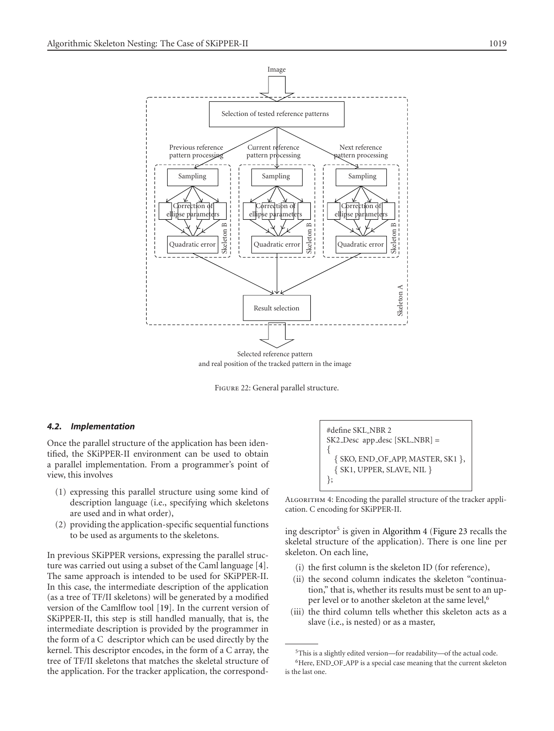

<span id="page-14-0"></span>Figure 22: General parallel structure.

## *4.2. Implementation*

Once the parallel structure of the application has been identified, the SKiPPER-II environment can be used to obtain a parallel implementation. From a programmer's point of view, this involves

- (1) expressing this parallel structure using some kind of description language (i.e., specifying which skeletons are used and in what order),
- (2) providing the application-specific sequential functions to be used as arguments to the skeletons.

In previous SKiPPER versions, expressing the parallel structure was carried out using a subset of the Caml language [\[4\]](#page-17-3). The same approach is intended to be used for SKiPPER-II. In this case, the intermediate description of the application (as a tree of TF/II skeletons) will be generated by a modified version of the Camlflow tool [\[19\]](#page-18-6). In the current version of SKiPPER-II, this step is still handled manually, that is, the intermediate description is provided by the programmer in the form of a C descriptor which can be used directly by the kernel. This descriptor encodes, in the form of a C array, the tree of TF/II skeletons that matches the skeletal structure of the application. For the tracker application, the correspond-

#define SKL NBR 2 SK2 Desc app desc [SKL NBR] = *{ {* SKO, END OF APP, MASTER, SK1 *}*, *{* SK1, UPPER, SLAVE, NIL *} }*;

<span id="page-14-1"></span>ALGORITHM 4: Encoding the parallel structure of the tracker application. C encoding for SKiPPER-II.

ing descriptor<sup>5</sup> is given in [Algorithm 4](#page-14-1) [\(Figure 23](#page-14-2) recalls the skeletal structure of the application). There is one line per skeleton. On each line,

- (i) the first column is the skeleton ID (for reference),
- (ii) the second column indicates the skeleton "continuation," that is, whether its results must be sent to an upper level or to another skeleton at the same level,<sup>6</sup>
- (iii) the third column tells whether this skeleton acts as a slave (i.e., is nested) or as a master,

<span id="page-14-2"></span><sup>5</sup>This is a slightly edited version—for readability—of the actual code. <sup>6</sup>Here, END OF APP is a special case meaning that the current skeleton is the last one.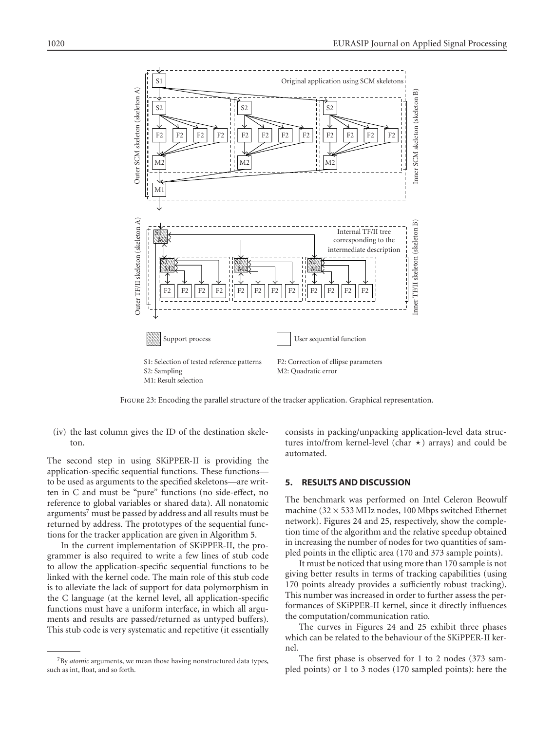

Figure 23: Encoding the parallel structure of the tracker application. Graphical representation.

(iv) the last column gives the ID of the destination skeleton.

The second step in using SKiPPER-II is providing the application-specific sequential functions. These functions to be used as arguments to the specified skeletons—are written in C and must be "pure" functions (no side-effect, no reference to global variables or shared data). All nonatomic arguments7 must be passed by address and all results must be returned by address. The prototypes of the sequential functions for the tracker application are given in [Algorithm 5.](#page-16-0)

In the current implementation of SKiPPER-II, the programmer is also required to write a few lines of stub code to allow the application-specific sequential functions to be linked with the kernel code. The main role of this stub code is to alleviate the lack of support for data polymorphism in the C language (at the kernel level, all application-specific functions must have a uniform interface, in which all arguments and results are passed/returned as untyped buffers). This stub code is very systematic and repetitive (it essentially

consists in packing/unpacking application-level data structures into/from kernel-level (char  $\star$ ) arrays) and could be automated.

## <span id="page-15-0"></span>**5. RESULTS AND DISCUSSION**

The benchmark was performed on Intel Celeron Beowulf machine ( $32 \times 533$  MHz nodes, 100 Mbps switched Ethernet network). Figures [24](#page-16-1) and [25,](#page-16-2) respectively, show the completion time of the algorithm and the relative speedup obtained in increasing the number of nodes for two quantities of sampled points in the elliptic area (170 and 373 sample points).

It must be noticed that using more than 170 sample is not giving better results in terms of tracking capabilities (using 170 points already provides a sufficiently robust tracking). This number was increased in order to further assess the performances of SKiPPER-II kernel, since it directly influences the computation/communication ratio.

The curves in Figures [24](#page-16-1) and [25](#page-16-2) exhibit three phases which can be related to the behaviour of the SKiPPER-II kernel.

The first phase is observed for 1 to 2 nodes (373 sampled points) or 1 to 3 nodes (170 sampled points): here the

<sup>7</sup>By *atomic* arguments, we mean those having nonstructured data types, such as int, float, and so forth.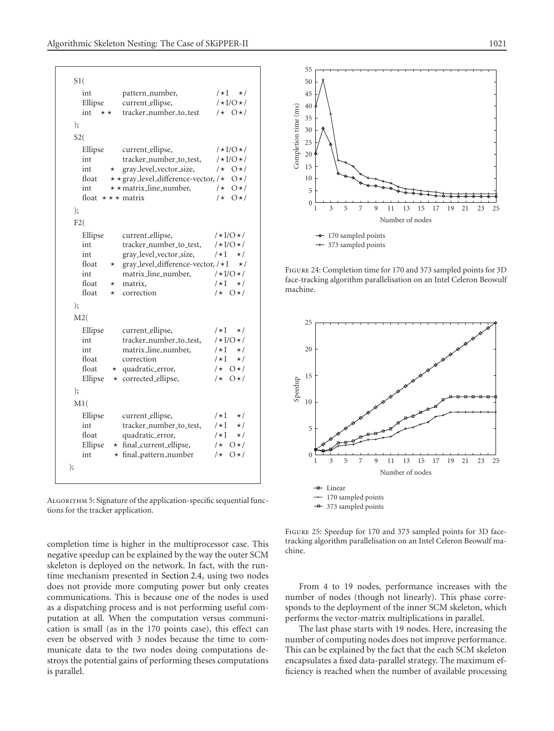

<span id="page-16-0"></span>ALGORITHM 5: Signature of the application-specific sequential functions for the tracker application.

);

completion time is higher in the multiprocessor case. This negative speedup can be explained by the way the outer SCM skeleton is deployed on the network. In fact, with the runtime mechanism presented in [Section 2.4,](#page-5-2) using two nodes does not provide more computing power but only creates communications. This is because one of the nodes is used as a dispatching process and is not performing useful computation at all. When the computation versus communication is small (as in the 170 points case), this effect can even be observed with 3 nodes because the time to communicate data to the two nodes doing computations destroys the potential gains of performing theses computations is parallel.



<span id="page-16-1"></span>Figure 24: Completion time for 170 and 373 sampled points for 3D face-tracking algorithm parallelisation on an Intel Celeron Beowulf machine.



<span id="page-16-2"></span>FIGURE 25: Speedup for 170 and 373 sampled points for 3D facetracking algorithm parallelisation on an Intel Celeron Beowulf machine.

From 4 to 19 nodes, performance increases with the number of nodes (though not linearly). This phase corresponds to the deployment of the inner SCM skeleton, which performs the vector-matrix multiplications in parallel.

The last phase starts with 19 nodes. Here, increasing the number of computing nodes does not improve performance. This can be explained by the fact that the each SCM skeleton encapsulates a fixed data-parallel strategy. The maximum efficiency is reached when the number of available processing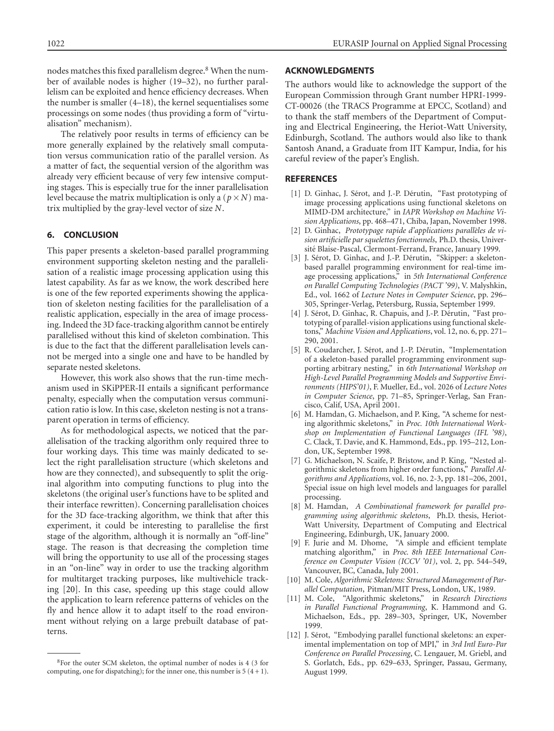nodes matches this fixed parallelism degree.<sup>8</sup> When the number of available nodes is higher (19–32), no further parallelism can be exploited and hence efficiency decreases. When the number is smaller (4–18), the kernel sequentialises some processings on some nodes (thus providing a form of "virtualisation" mechanism).

The relatively poor results in terms of efficiency can be more generally explained by the relatively small computation versus communication ratio of the parallel version. As a matter of fact, the sequential version of the algorithm was already very efficient because of very few intensive computing stages. This is especially true for the inner parallelisation level because the matrix multiplication is only a ( $p \times N$ ) matrix multiplied by the gray-level vector of size *N*.

# <span id="page-17-9"></span>**6. CONCLUSION**

This paper presents a skeleton-based parallel programming environment supporting skeleton nesting and the parallelisation of a realistic image processing application using this latest capability. As far as we know, the work described here is one of the few reported experiments showing the application of skeleton nesting facilities for the parallelisation of a realistic application, especially in the area of image processing. Indeed the 3D face-tracking algorithm cannot be entirely parallelised without this kind of skeleton combination. This is due to the fact that the different parallelisation levels cannot be merged into a single one and have to be handled by separate nested skeletons.

However, this work also shows that the run-time mechanism used in SKiPPER-II entails a significant performance penalty, especially when the computation versus communication ratio is low. In this case, skeleton nesting is not a transparent operation in terms of efficiency.

As for methodological aspects, we noticed that the parallelisation of the tracking algorithm only required three to four working days. This time was mainly dedicated to select the right parallelisation structure (which skeletons and how are they connected), and subsequently to split the original algorithm into computing functions to plug into the skeletons (the original user's functions have to be splited and their interface rewritten). Concerning parallelisation choices for the 3D face-tracking algorithm, we think that after this experiment, it could be interesting to parallelise the first stage of the algorithm, although it is normally an "off-line" stage. The reason is that decreasing the completion time will bring the opportunity to use all of the processing stages in an "on-line" way in order to use the tracking algorithm for multitarget tracking purposes, like multivehicle tracking [\[20](#page-18-7)]. In this case, speeding up this stage could allow the application to learn reference patterns of vehicles on the fly and hence allow it to adapt itself to the road environment without relying on a large prebuilt database of patterns.

## **ACKNOWLEDGMENTS**

The authors would like to acknowledge the support of the European Commission through Grant number HPRI-1999- CT-00026 (the TRACS Programme at EPCC, Scotland) and to thank the staff members of the Department of Computing and Electrical Engineering, the Heriot-Watt University, Edinburgh, Scotland. The authors would also like to thank Santosh Anand, a Graduate from IIT Kampur, India, for his careful review of the paper's English.

## <span id="page-17-0"></span>**REFERENCES**

- [1] D. Ginhac, J. Sérot, and J.-P. Dérutin, "Fast prototyping of image processing applications using functional skeletons on MIMD-DM architecture," in *IAPR Workshop on Machine Vision Applications*, pp. 468–471, Chiba, Japan, November 1998.
- <span id="page-17-1"></span>[2] D. Ginhac, *Prototypage rapide d'applications parallèles de vision artificielle par squelettes fonctionnels*, Ph.D. thesis, Université Blaise-Pascal, Clermont-Ferrand, France, January 1999.
- <span id="page-17-2"></span>[3] J. Sérot, D. Ginhac, and J.-P. Dérutin, "Skipper: a skeletonbased parallel programming environment for real-time image processing applications," in *5th International Conference on Parallel Computing Technologies (PACT '99)*, V. Malyshkin, Ed., vol. 1662 of *Lecture Notes in Computer Science*, pp. 296– 305, Springer-Verlag, Petersburg, Russia, September 1999.
- <span id="page-17-3"></span>[4] J. Sérot, D. Ginhac, R. Chapuis, and J.-P. Dérutin, "Fast prototyping of parallel-vision applications using functional skeletons," *Machine Vision and Applications*, vol. 12, no. 6, pp. 271– 290, 2001.
- <span id="page-17-4"></span>[5] R. Coudarcher, J. Sérot, and J.-P. Dérutin, "Implementation of a skeleton-based parallel programming environment supporting arbitrary nesting," in *6th International Workshop on High-Level Parallel Programming Models and Supportive Environments (HIPS'01)*, F. Mueller, Ed., vol. 2026 of *Lecture Notes in Computer Science*, pp. 71–85, Springer-Verlag, San Francisco, Calif, USA, April 2001.
- <span id="page-17-5"></span>[6] M. Hamdan, G. Michaelson, and P. King, "A scheme for nesting algorithmic skeletons," in *Proc. 10th International Workshop on Implementation of Functional Languages (IFL '98)*, C. Clack, T. Davie, and K. Hammond, Eds., pp. 195–212, London, UK, September 1998.
- <span id="page-17-6"></span>[7] G. Michaelson, N. Scaife, P. Bristow, and P. King, "Nested algorithmic skeletons from higher order functions," *Parallel Algorithms and Applications*, vol. 16, no. 2-3, pp. 181–206, 2001, Special issue on high level models and languages for parallel processing.
- <span id="page-17-7"></span>[8] M. Hamdan, *A Combinational framework for parallel programming using algorithmic skeletons*, Ph.D. thesis, Heriot-Watt University, Department of Computing and Electrical Engineering, Edinburgh, UK, January 2000.
- <span id="page-17-8"></span>[9] F. Jurie and M. Dhome, "A simple and efficient template matching algorithm," in *Proc. 8th IEEE International Conference on Computer Vision (ICCV '01)*, vol. 2, pp. 544–549, Vancouver, BC, Canada, July 2001.
- <span id="page-17-10"></span>[10] M. Cole, *Algorithmic Skeletons: Structured Management of Parallel Computation*, Pitman/MIT Press, London, UK, 1989.
- <span id="page-17-11"></span>[11] M. Cole, "Algorithmic skeletons," in *Research Directions in Parallel Functional Programming*, K. Hammond and G. Michaelson, Eds., pp. 289–303, Springer, UK, November 1999.
- <span id="page-17-12"></span>[12] J. Sérot, "Embodying parallel functional skeletons: an experimental implementation on top of MPI," in *3rd Intl Euro-Par Conference on Parallel Processing*, C. Lengauer, M. Griebl, and S. Gorlatch, Eds., pp. 629–633, Springer, Passau, Germany, August 1999.

<sup>8</sup>For the outer SCM skeleton, the optimal number of nodes is 4 (3 for computing, one for dispatching); for the inner one, this number is  $5(4+1)$ .